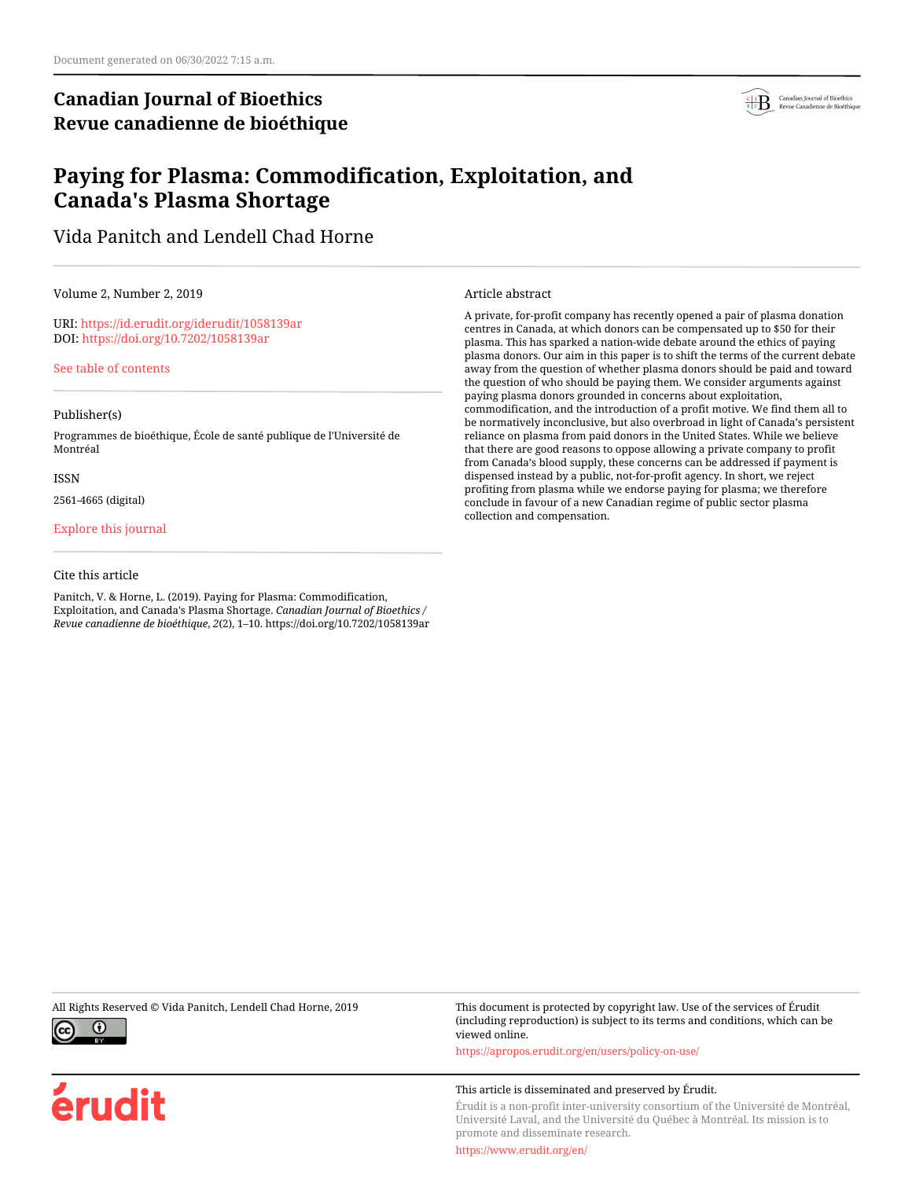## **Canadian Journal of Bioethics Revue canadienne de bioéthique**



## **Paying for Plasma: Commodification, Exploitation, and Canada's Plasma Shortage**

Vida Panitch and Lendell Chad Horne

Volume 2, Number 2, 2019

URI:<https://id.erudit.org/iderudit/1058139ar> DOI:<https://doi.org/10.7202/1058139ar>

[See table of contents](https://www.erudit.org/en/journals/bioethics/2019-v2-n2-bioethics04449/)

#### Publisher(s)

Programmes de bioéthique, École de santé publique de l'Université de Montréal

#### ISSN

2561-4665 (digital)

[Explore this journal](https://www.erudit.org/en/journals/bioethics/)

### Cite this article

Panitch, V. & Horne, L. (2019). Paying for Plasma: Commodification, Exploitation, and Canada's Plasma Shortage. *Canadian Journal of Bioethics / Revue canadienne de bioéthique*, *2*(2), 1–10. https://doi.org/10.7202/1058139ar Article abstract

A private, for-profit company has recently opened a pair of plasma donation centres in Canada, at which donors can be compensated up to \$50 for their plasma. This has sparked a nation-wide debate around the ethics of paying plasma donors. Our aim in this paper is to shift the terms of the current debate away from the question of whether plasma donors should be paid and toward the question of who should be paying them. We consider arguments against paying plasma donors grounded in concerns about exploitation, commodification, and the introduction of a profit motive. We find them all to be normatively inconclusive, but also overbroad in light of Canada's persistent reliance on plasma from paid donors in the United States. While we believe that there are good reasons to oppose allowing a private company to profit from Canada's blood supply, these concerns can be addressed if payment is dispensed instead by a public, not-for-profit agency. In short, we reject profiting from plasma while we endorse paying for plasma; we therefore conclude in favour of a new Canadian regime of public sector plasma collection and compensation.



érudit

All Rights Reserved © Vida Panitch, Lendell Chad Horne, 2019 This document is protected by copyright law. Use of the services of Érudit (including reproduction) is subject to its terms and conditions, which can be viewed online.

<https://apropos.erudit.org/en/users/policy-on-use/>

#### This article is disseminated and preserved by Érudit.

Érudit is a non-profit inter-university consortium of the Université de Montréal, Université Laval, and the Université du Québec à Montréal. Its mission is to promote and disseminate research.

<https://www.erudit.org/en/>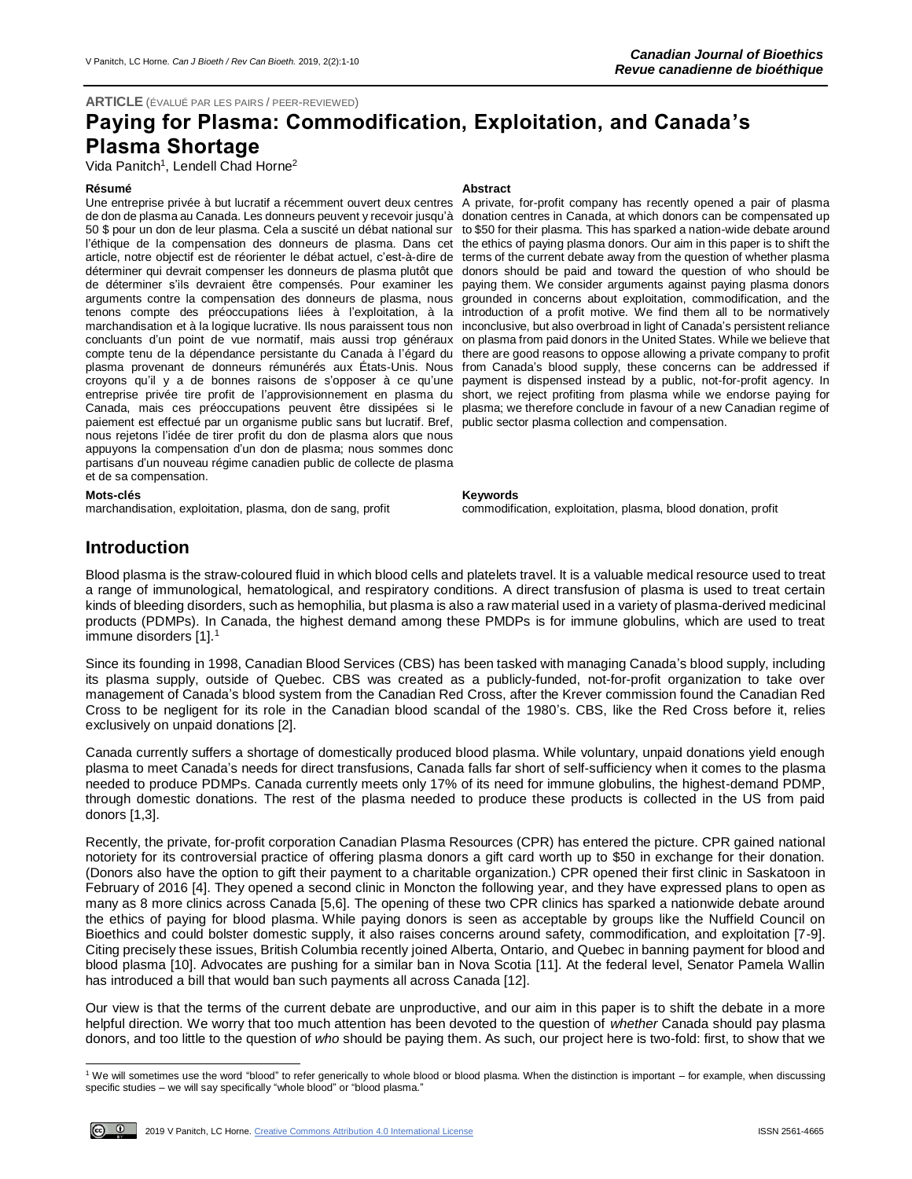### **ARTICLE** (ÉVALUÉ PAR LES PAIRS / PEER-REVIEWED)

# **Paying for Plasma: Commodification, Exploitation, and Canada's Plasma Shortage**

Vida Panitch<sup>1</sup>, Lendell Chad Horne<sup>2</sup>

### **Résumé Abstract**

Une entreprise privée à but lucratif a récemment ouvert deux centres de don de plasma au Canada. Les donneurs peuvent y recevoir jusqu'à donation centres in Canada, at which donors can be compensated up 50 \$ pour un don de leur plasma. Cela a suscité un débat national sur to \$50 for their plasma. This has sparked a nation-wide debate around l'éthique de la compensation des donneurs de plasma. Dans cet article, notre objectif est de réorienter le débat actuel, c'est-à-dire de terms of the current debate away from the question of whether plasma déterminer qui devrait compenser les donneurs de plasma plutôt que donors should be paid and toward the question of who should be de déterminer s'ils devraient être compensés. Pour examiner les paying them. We consider arguments against paying plasma donors arguments contre la compensation des donneurs de plasma, nous tenons compte des préoccupations liées à l'exploitation, à la marchandisation et à la logique lucrative. Ils nous paraissent tous non inconclusive, but also overbroad in light of Canada's persistent reliance concluants d'un point de vue normatif, mais aussi trop généraux on plasma from paid donors in the United States. While we believe that compte tenu de la dépendance persistante du Canada à l'égard du plasma provenant de donneurs rémunérés aux États-Unis. Nous from Canada's blood supply, these concerns can be addressed if croyons qu'il y a de bonnes raisons de s'opposer à ce qu'une payment is dispensed instead by a public, not-for-profit agency. In entreprise privée tire profit de l'approvisionnement en plasma du short, we reject profiting from plasma while we endorse paying for Canada, mais ces préoccupations peuvent être dissipées si le plasma; we therefore conclude in favour of a new Canadian regime of paiement est effectué par un organisme public sans but lucratif. Bref, public sector plasma collection and compensation. nous rejetons l'idée de tirer profit du don de plasma alors que nous appuyons la compensation d'un don de plasma; nous sommes donc partisans d'un nouveau régime canadien public de collecte de plasma et de sa compensation.

**Mots-clés Keywords**

A private, for-profit company has recently opened a pair of plasma the ethics of paying plasma donors. Our aim in this paper is to shift the grounded in concerns about exploitation, commodification, and the introduction of a profit motive. We find them all to be normatively there are good reasons to oppose allowing a private company to profit

commodification, exploitation, plasma, blood donation, profit

## **Introduction**

Blood plasma is the straw-coloured fluid in which blood cells and platelets travel. It is a valuable medical resource used to treat a range of immunological, hematological, and respiratory conditions. A direct transfusion of plasma is used to treat certain kinds of bleeding disorders, such as hemophilia, but plasma is also a raw material used in a variety of plasma-derived medicinal products (PDMPs). In Canada, the highest demand among these PMDPs is for immune globulins, which are used to treat immune disorders [1].<sup>1</sup>

Since its founding in 1998, Canadian Blood Services (CBS) has been tasked with managing Canada's blood supply, including its plasma supply, outside of Quebec. CBS was created as a publicly-funded, not-for-profit organization to take over management of Canada's blood system from the Canadian Red Cross, after the Krever commission found the Canadian Red Cross to be negligent for its role in the Canadian blood scandal of the 1980's. CBS, like the Red Cross before it, relies exclusively on unpaid donations [2].

Canada currently suffers a shortage of domestically produced blood plasma. While voluntary, unpaid donations yield enough plasma to meet Canada's needs for direct transfusions, Canada falls far short of self-sufficiency when it comes to the plasma needed to produce PDMPs. Canada currently meets only 17% of its need for immune globulins, the highest-demand PDMP, through domestic donations. The rest of the plasma needed to produce these products is collected in the US from paid donors [1,3].

Recently, the private, for-profit corporation Canadian Plasma Resources (CPR) has entered the picture. CPR gained national notoriety for its controversial practice of offering plasma donors a gift card worth up to \$50 in exchange for their donation. (Donors also have the option to gift their payment to a charitable organization.) CPR opened their first clinic in Saskatoon in February of 2016 [4]. They opened a second clinic in Moncton the following year, and they have expressed plans to open as many as 8 more clinics across Canada [5,6]. The opening of these two CPR clinics has sparked a nationwide debate around the ethics of paying for blood plasma. While paying donors is seen as acceptable by groups like the Nuffield Council on Bioethics and could bolster domestic supply, it also raises concerns around safety, commodification, and exploitation [7-9]. Citing precisely these issues, British Columbia recently joined Alberta, Ontario, and Quebec in banning payment for blood and blood plasma [10]. Advocates are pushing for a similar ban in Nova Scotia [11]. At the federal level, Senator Pamela Wallin has introduced a bill that would ban such payments all across Canada [12].

Our view is that the terms of the current debate are unproductive, and our aim in this paper is to shift the debate in a more helpful direction. We worry that too much attention has been devoted to the question of *whether* Canada should pay plasma donors, and too little to the question of *who* should be paying them. As such, our project here is two-fold: first, to show that we

<sup>1</sup> We will sometimes use the word "blood" to refer generically to whole blood or blood plasma. When the distinction is important – for example, when discussing specific studies – we will say specifically "whole blood" or "blood plasma."



l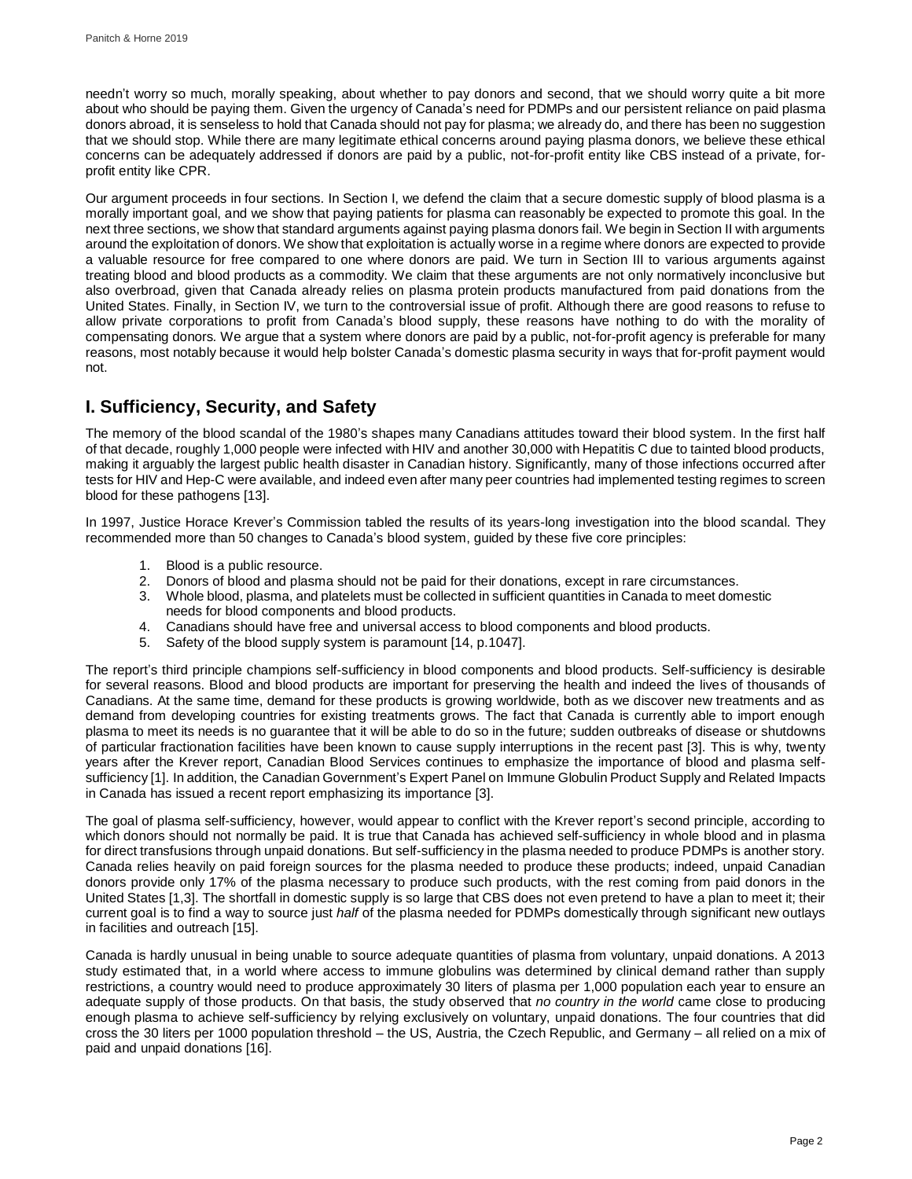needn't worry so much, morally speaking, about whether to pay donors and second, that we should worry quite a bit more about who should be paying them. Given the urgency of Canada's need for PDMPs and our persistent reliance on paid plasma donors abroad, it is senseless to hold that Canada should not pay for plasma; we already do, and there has been no suggestion that we should stop. While there are many legitimate ethical concerns around paying plasma donors, we believe these ethical concerns can be adequately addressed if donors are paid by a public, not-for-profit entity like CBS instead of a private, forprofit entity like CPR.

Our argument proceeds in four sections. In Section I, we defend the claim that a secure domestic supply of blood plasma is a morally important goal, and we show that paying patients for plasma can reasonably be expected to promote this goal. In the next three sections, we show that standard arguments against paying plasma donors fail. We begin in Section II with arguments around the exploitation of donors. We show that exploitation is actually worse in a regime where donors are expected to provide a valuable resource for free compared to one where donors are paid. We turn in Section III to various arguments against treating blood and blood products as a commodity. We claim that these arguments are not only normatively inconclusive but also overbroad, given that Canada already relies on plasma protein products manufactured from paid donations from the United States. Finally, in Section IV, we turn to the controversial issue of profit. Although there are good reasons to refuse to allow private corporations to profit from Canada's blood supply, these reasons have nothing to do with the morality of compensating donors*.* We argue that a system where donors are paid by a public, not-for-profit agency is preferable for many reasons, most notably because it would help bolster Canada's domestic plasma security in ways that for-profit payment would not.

## **I. Sufficiency, Security, and Safety**

The memory of the blood scandal of the 1980's shapes many Canadians attitudes toward their blood system. In the first half of that decade, roughly 1,000 people were infected with HIV and another 30,000 with Hepatitis C due to tainted blood products, making it arguably the largest public health disaster in Canadian history. Significantly, many of those infections occurred after tests for HIV and Hep-C were available, and indeed even after many peer countries had implemented testing regimes to screen blood for these pathogens [13].

In 1997, Justice Horace Krever's Commission tabled the results of its years-long investigation into the blood scandal. They recommended more than 50 changes to Canada's blood system, guided by these five core principles:

- 1. Blood is a public resource.<br>2. Donors of blood and plasm
- 2. Donors of blood and plasma should not be paid for their donations, except in rare circumstances.
- 3. Whole blood, plasma, and platelets must be collected in sufficient quantities in Canada to meet domestic needs for blood components and blood products.
- 4. Canadians should have free and universal access to blood components and blood products.
- 5. Safety of the blood supply system is paramount [14, p.1047].

The report's third principle champions self-sufficiency in blood components and blood products. Self-sufficiency is desirable for several reasons. Blood and blood products are important for preserving the health and indeed the lives of thousands of Canadians. At the same time, demand for these products is growing worldwide, both as we discover new treatments and as demand from developing countries for existing treatments grows. The fact that Canada is currently able to import enough plasma to meet its needs is no guarantee that it will be able to do so in the future; sudden outbreaks of disease or shutdowns of particular fractionation facilities have been known to cause supply interruptions in the recent past [3]. This is why, twenty years after the Krever report, Canadian Blood Services continues to emphasize the importance of blood and plasma selfsufficiency [1]. In addition, the Canadian Government's Expert Panel on Immune Globulin Product Supply and Related Impacts in Canada has issued a recent report emphasizing its importance [3].

The goal of plasma self-sufficiency, however, would appear to conflict with the Krever report's second principle, according to which donors should not normally be paid. It is true that Canada has achieved self-sufficiency in whole blood and in plasma for direct transfusions through unpaid donations. But self-sufficiency in the plasma needed to produce PDMPs is another story. Canada relies heavily on paid foreign sources for the plasma needed to produce these products; indeed, unpaid Canadian donors provide only 17% of the plasma necessary to produce such products, with the rest coming from paid donors in the United States [1,3]. The shortfall in domestic supply is so large that CBS does not even pretend to have a plan to meet it; their current goal is to find a way to source just *half* of the plasma needed for PDMPs domestically through significant new outlays in facilities and outreach [15].

Canada is hardly unusual in being unable to source adequate quantities of plasma from voluntary, unpaid donations. A 2013 study estimated that, in a world where access to immune globulins was determined by clinical demand rather than supply restrictions, a country would need to produce approximately 30 liters of plasma per 1,000 population each year to ensure an adequate supply of those products. On that basis, the study observed that *no country in the world* came close to producing enough plasma to achieve self-sufficiency by relying exclusively on voluntary, unpaid donations. The four countries that did cross the 30 liters per 1000 population threshold – the US, Austria, the Czech Republic, and Germany – all relied on a mix of paid and unpaid donations [16].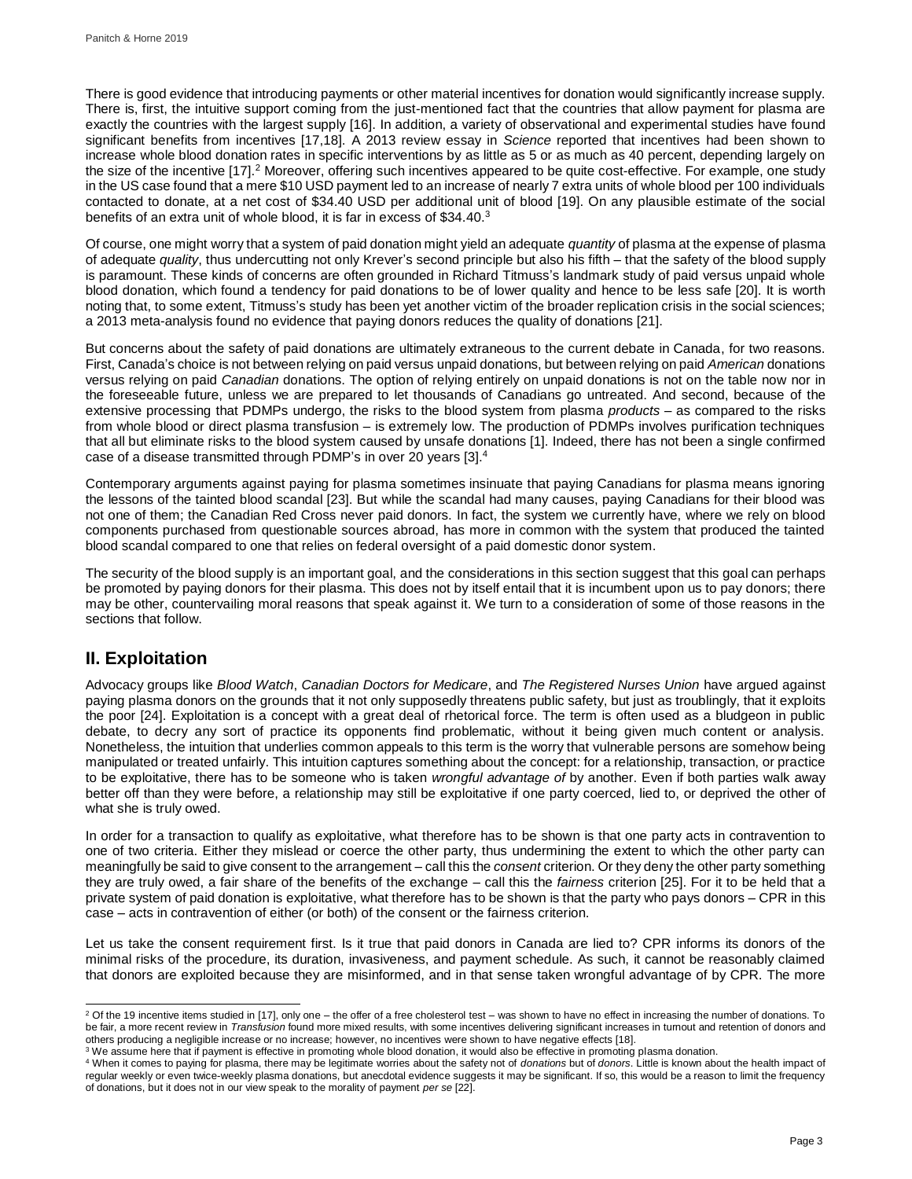There is good evidence that introducing payments or other material incentives for donation would significantly increase supply. There is, first, the intuitive support coming from the just-mentioned fact that the countries that allow payment for plasma are exactly the countries with the largest supply [16]. In addition, a variety of observational and experimental studies have found significant benefits from incentives [17,18]. A 2013 review essay in *Science* reported that incentives had been shown to increase whole blood donation rates in specific interventions by as little as 5 or as much as 40 percent, depending largely on the size of the incentive [17].<sup>2</sup> Moreover, offering such incentives appeared to be quite cost-effective. For example, one study in the US case found that a mere \$10 USD payment led to an increase of nearly 7 extra units of whole blood per 100 individuals contacted to donate, at a net cost of \$34.40 USD per additional unit of blood [19]. On any plausible estimate of the social benefits of an extra unit of whole blood, it is far in excess of \$34.40.<sup>3</sup>

Of course, one might worry that a system of paid donation might yield an adequate *quantity* of plasma at the expense of plasma of adequate *quality*, thus undercutting not only Krever's second principle but also his fifth – that the safety of the blood supply is paramount. These kinds of concerns are often grounded in Richard Titmuss's landmark study of paid versus unpaid whole blood donation, which found a tendency for paid donations to be of lower quality and hence to be less safe [20]. It is worth noting that, to some extent, Titmuss's study has been yet another victim of the broader replication crisis in the social sciences; a 2013 meta-analysis found no evidence that paying donors reduces the quality of donations [21].

But concerns about the safety of paid donations are ultimately extraneous to the current debate in Canada, for two reasons. First, Canada's choice is not between relying on paid versus unpaid donations, but between relying on paid *American* donations versus relying on paid *Canadian* donations. The option of relying entirely on unpaid donations is not on the table now nor in the foreseeable future, unless we are prepared to let thousands of Canadians go untreated. And second, because of the extensive processing that PDMPs undergo, the risks to the blood system from plasma *products* – as compared to the risks from whole blood or direct plasma transfusion – is extremely low. The production of PDMPs involves purification techniques that all but eliminate risks to the blood system caused by unsafe donations [1]. Indeed, there has not been a single confirmed case of a disease transmitted through PDMP's in over 20 years [3].<sup>4</sup>

Contemporary arguments against paying for plasma sometimes insinuate that paying Canadians for plasma means ignoring the lessons of the tainted blood scandal [23]. But while the scandal had many causes, paying Canadians for their blood was not one of them; the Canadian Red Cross never paid donors. In fact, the system we currently have, where we rely on blood components purchased from questionable sources abroad, has more in common with the system that produced the tainted blood scandal compared to one that relies on federal oversight of a paid domestic donor system.

The security of the blood supply is an important goal, and the considerations in this section suggest that this goal can perhaps be promoted by paying donors for their plasma. This does not by itself entail that it is incumbent upon us to pay donors; there may be other, countervailing moral reasons that speak against it. We turn to a consideration of some of those reasons in the sections that follow.

## **II. Exploitation**

Advocacy groups like *Blood Watch*, *Canadian Doctors for Medicare*, and *The Registered Nurses Union* have argued against paying plasma donors on the grounds that it not only supposedly threatens public safety, but just as troublingly, that it exploits the poor [24]. Exploitation is a concept with a great deal of rhetorical force. The term is often used as a bludgeon in public debate, to decry any sort of practice its opponents find problematic, without it being given much content or analysis. Nonetheless, the intuition that underlies common appeals to this term is the worry that vulnerable persons are somehow being manipulated or treated unfairly. This intuition captures something about the concept: for a relationship, transaction, or practice to be exploitative, there has to be someone who is taken *wrongful advantage of* by another. Even if both parties walk away better off than they were before, a relationship may still be exploitative if one party coerced, lied to, or deprived the other of what she is truly owed.

In order for a transaction to qualify as exploitative, what therefore has to be shown is that one party acts in contravention to one of two criteria. Either they mislead or coerce the other party, thus undermining the extent to which the other party can meaningfully be said to give consent to the arrangement – call this the *consent* criterion. Or they deny the other party something they are truly owed, a fair share of the benefits of the exchange – call this the *fairness* criterion [25]. For it to be held that a private system of paid donation is exploitative, what therefore has to be shown is that the party who pays donors – CPR in this case – acts in contravention of either (or both) of the consent or the fairness criterion.

Let us take the consent requirement first. Is it true that paid donors in Canada are lied to? CPR informs its donors of the minimal risks of the procedure, its duration, invasiveness, and payment schedule. As such, it cannot be reasonably claimed that donors are exploited because they are misinformed, and in that sense taken wrongful advantage of by CPR. The more

l <sup>2</sup> Of the 19 incentive items studied in [17], only one – the offer of a free cholesterol test – was shown to have no effect in increasing the number of donations. To be fair, a more recent review in *Transfusion* found more mixed results, with some incentives delivering significant increases in turnout and retention of donors and

others producing a negligible increase or no increase; however, no incentives were shown to have negative effects [18].<br><sup>3</sup> We assume here that if payment is effective in promoting whole blood donation, it would also be ef

<sup>4</sup> When it comes to paying for plasma, there may be legitimate worries about the safety not of *donations* but of *donors*. Little is known about the health impact of regular weekly or even twice-weekly plasma donations, but anecdotal evidence suggests it may be significant. If so, this would be a reason to limit the frequency of donations, but it does not in our view speak to the morality of payment *per se* [22].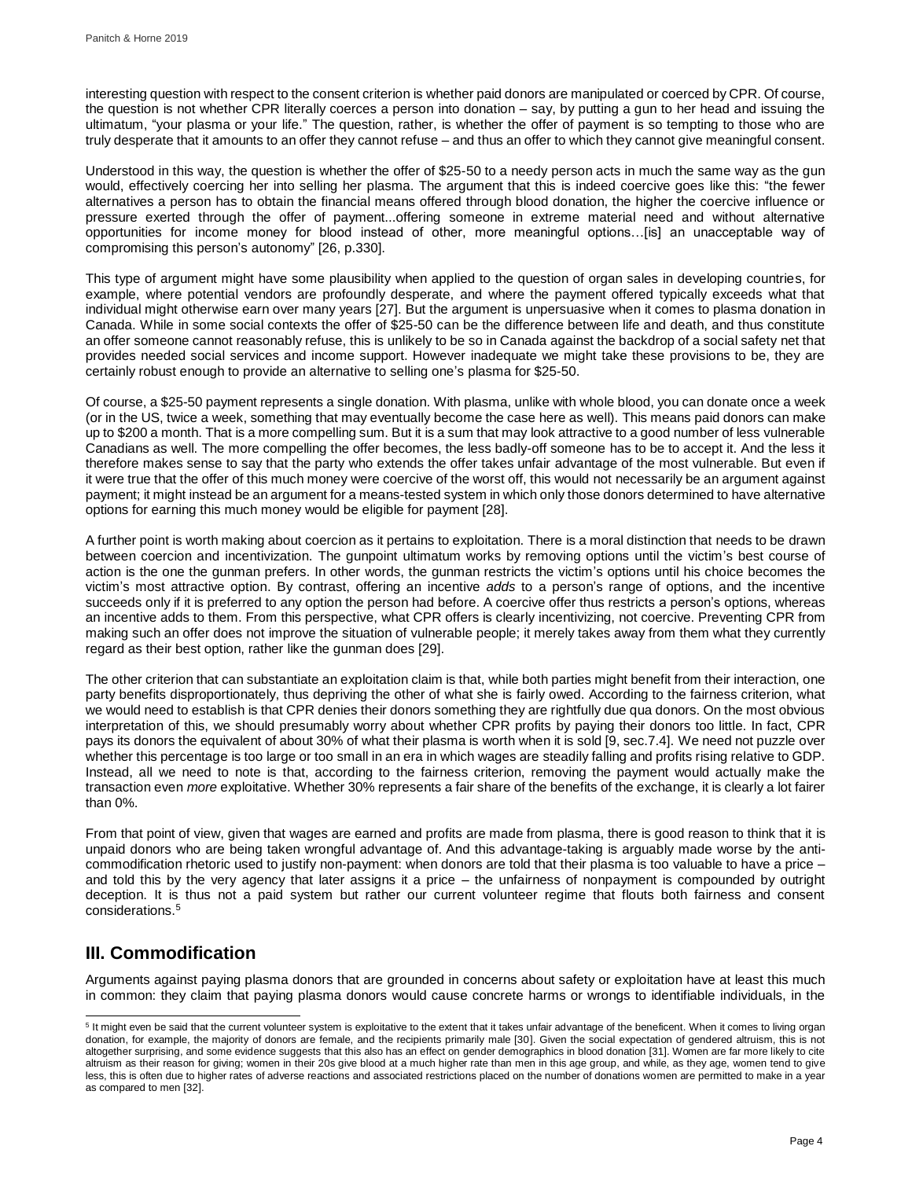interesting question with respect to the consent criterion is whether paid donors are manipulated or coerced by CPR. Of course, the question is not whether CPR literally coerces a person into donation – say, by putting a gun to her head and issuing the ultimatum, "your plasma or your life." The question, rather, is whether the offer of payment is so tempting to those who are truly desperate that it amounts to an offer they cannot refuse – and thus an offer to which they cannot give meaningful consent.

Understood in this way, the question is whether the offer of \$25-50 to a needy person acts in much the same way as the gun would, effectively coercing her into selling her plasma. The argument that this is indeed coercive goes like this: "the fewer alternatives a person has to obtain the financial means offered through blood donation, the higher the coercive influence or pressure exerted through the offer of payment...offering someone in extreme material need and without alternative opportunities for income money for blood instead of other, more meaningful options…[is] an unacceptable way of compromising this person's autonomy" [26, p.330].

This type of argument might have some plausibility when applied to the question of organ sales in developing countries, for example, where potential vendors are profoundly desperate, and where the payment offered typically exceeds what that individual might otherwise earn over many years [27]. But the argument is unpersuasive when it comes to plasma donation in Canada. While in some social contexts the offer of \$25-50 can be the difference between life and death, and thus constitute an offer someone cannot reasonably refuse, this is unlikely to be so in Canada against the backdrop of a social safety net that provides needed social services and income support. However inadequate we might take these provisions to be, they are certainly robust enough to provide an alternative to selling one's plasma for \$25-50.

Of course, a \$25-50 payment represents a single donation. With plasma, unlike with whole blood, you can donate once a week (or in the US, twice a week, something that may eventually become the case here as well). This means paid donors can make up to \$200 a month. That is a more compelling sum. But it is a sum that may look attractive to a good number of less vulnerable Canadians as well. The more compelling the offer becomes, the less badly-off someone has to be to accept it. And the less it therefore makes sense to say that the party who extends the offer takes unfair advantage of the most vulnerable. But even if it were true that the offer of this much money were coercive of the worst off, this would not necessarily be an argument against payment; it might instead be an argument for a means-tested system in which only those donors determined to have alternative options for earning this much money would be eligible for payment [28].

A further point is worth making about coercion as it pertains to exploitation. There is a moral distinction that needs to be drawn between coercion and incentivization. The gunpoint ultimatum works by removing options until the victim's best course of action is the one the gunman prefers. In other words, the gunman restricts the victim's options until his choice becomes the victim's most attractive option. By contrast, offering an incentive *adds* to a person's range of options, and the incentive succeeds only if it is preferred to any option the person had before. A coercive offer thus restricts a person's options, whereas an incentive adds to them. From this perspective, what CPR offers is clearly incentivizing, not coercive. Preventing CPR from making such an offer does not improve the situation of vulnerable people; it merely takes away from them what they currently regard as their best option, rather like the gunman does [29].

The other criterion that can substantiate an exploitation claim is that, while both parties might benefit from their interaction, one party benefits disproportionately, thus depriving the other of what she is fairly owed. According to the fairness criterion, what we would need to establish is that CPR denies their donors something they are rightfully due qua donors. On the most obvious interpretation of this, we should presumably worry about whether CPR profits by paying their donors too little. In fact, CPR pays its donors the equivalent of about 30% of what their plasma is worth when it is sold [9, sec.7.4]. We need not puzzle over whether this percentage is too large or too small in an era in which wages are steadily falling and profits rising relative to GDP. Instead, all we need to note is that, according to the fairness criterion, removing the payment would actually make the transaction even *more* exploitative. Whether 30% represents a fair share of the benefits of the exchange, it is clearly a lot fairer than 0%.

From that point of view, given that wages are earned and profits are made from plasma, there is good reason to think that it is unpaid donors who are being taken wrongful advantage of. And this advantage-taking is arguably made worse by the anticommodification rhetoric used to justify non-payment: when donors are told that their plasma is too valuable to have a price – and told this by the very agency that later assigns it a price – the unfairness of nonpayment is compounded by outright deception. It is thus not a paid system but rather our current volunteer regime that flouts both fairness and consent considerations.<sup>5</sup>

## **III. Commodification**

l

Arguments against paying plasma donors that are grounded in concerns about safety or exploitation have at least this much in common: they claim that paying plasma donors would cause concrete harms or wrongs to identifiable individuals, in the

<sup>&</sup>lt;sup>5</sup> It might even be said that the current volunteer system is exploitative to the extent that it takes unfair advantage of the beneficent. When it comes to living organ donation, for example, the majority of donors are female, and the recipients primarily male [30]. Given the social expectation of gendered altruism, this is not altogether surprising, and some evidence suggests that this also has an effect on gender demographics in blood donation [31]. Women are far more likely to cite altruism as their reason for giving; women in their 20s give blood at a much higher rate than men in this age group, and while, as they age, women tend to give less, this is often due to higher rates of adverse reactions and associated restrictions placed on the number of donations women are permitted to make in a year as compared to men [32].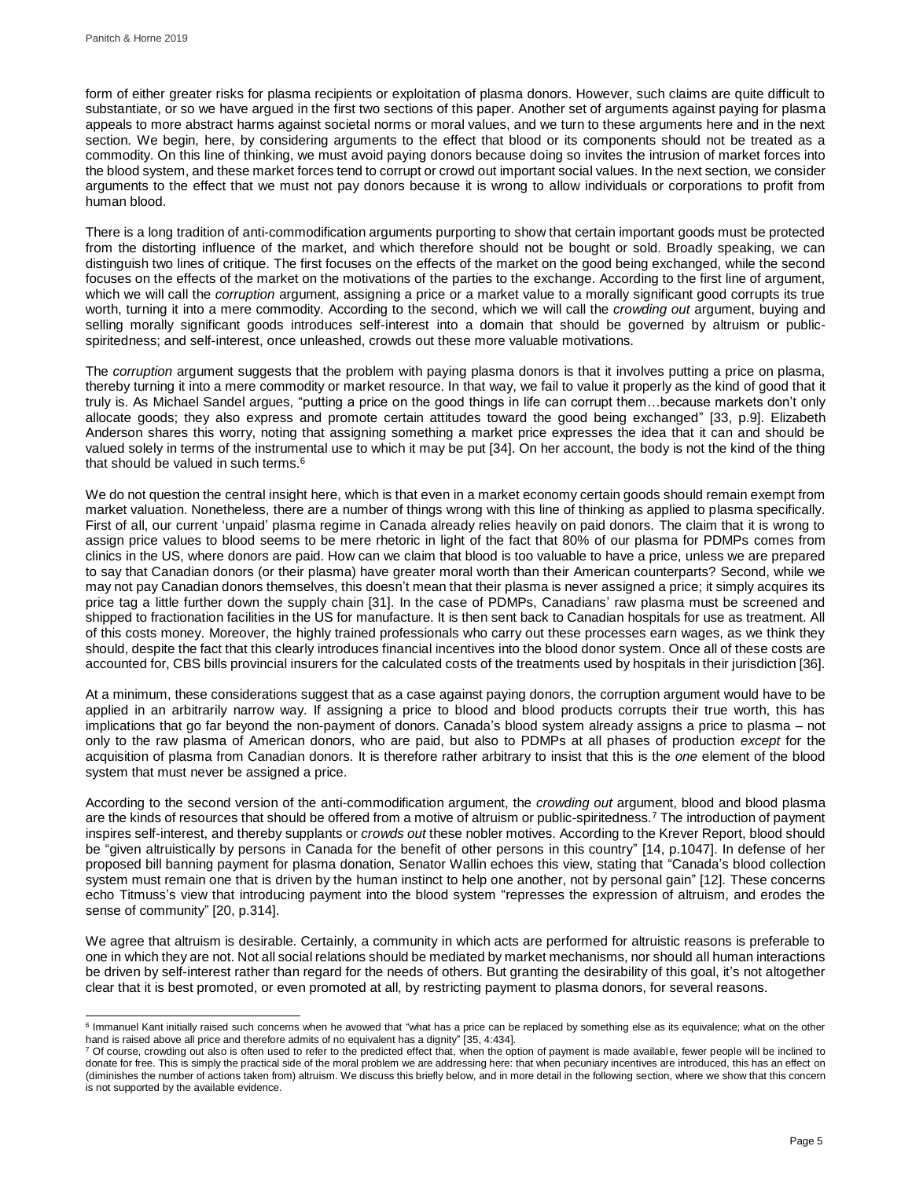form of either greater risks for plasma recipients or exploitation of plasma donors. However, such claims are quite difficult to substantiate, or so we have argued in the first two sections of this paper. Another set of arguments against paying for plasma appeals to more abstract harms against societal norms or moral values, and we turn to these arguments here and in the next section. We begin, here, by considering arguments to the effect that blood or its components should not be treated as a commodity. On this line of thinking, we must avoid paying donors because doing so invites the intrusion of market forces into the blood system, and these market forces tend to corrupt or crowd out important social values. In the next section, we consider arguments to the effect that we must not pay donors because it is wrong to allow individuals or corporations to profit from human blood.

There is a long tradition of anti-commodification arguments purporting to show that certain important goods must be protected from the distorting influence of the market, and which therefore should not be bought or sold. Broadly speaking, we can distinguish two lines of critique. The first focuses on the effects of the market on the good being exchanged, while the second focuses on the effects of the market on the motivations of the parties to the exchange. According to the first line of argument, which we will call the *corruption* argument, assigning a price or a market value to a morally significant good corrupts its true worth, turning it into a mere commodity. According to the second, which we will call the *crowding out* argument, buying and selling morally significant goods introduces self-interest into a domain that should be governed by altruism or publicspiritedness; and self-interest, once unleashed, crowds out these more valuable motivations.

The *corruption* argument suggests that the problem with paying plasma donors is that it involves putting a price on plasma, thereby turning it into a mere commodity or market resource. In that way, we fail to value it properly as the kind of good that it truly is. As Michael Sandel argues, "putting a price on the good things in life can corrupt them…because markets don't only allocate goods; they also express and promote certain attitudes toward the good being exchanged" [33, p.9]. Elizabeth Anderson shares this worry, noting that assigning something a market price expresses the idea that it can and should be valued solely in terms of the instrumental use to which it may be put [34]. On her account, the body is not the kind of the thing that should be valued in such terms.<sup>6</sup>

We do not question the central insight here, which is that even in a market economy certain goods should remain exempt from market valuation. Nonetheless, there are a number of things wrong with this line of thinking as applied to plasma specifically. First of all, our current 'unpaid' plasma regime in Canada already relies heavily on paid donors. The claim that it is wrong to assign price values to blood seems to be mere rhetoric in light of the fact that 80% of our plasma for PDMPs comes from clinics in the US, where donors are paid. How can we claim that blood is too valuable to have a price, unless we are prepared to say that Canadian donors (or their plasma) have greater moral worth than their American counterparts? Second, while we may not pay Canadian donors themselves, this doesn't mean that their plasma is never assigned a price; it simply acquires its price tag a little further down the supply chain [31]. In the case of PDMPs, Canadians' raw plasma must be screened and shipped to fractionation facilities in the US for manufacture. It is then sent back to Canadian hospitals for use as treatment. All of this costs money. Moreover, the highly trained professionals who carry out these processes earn wages, as we think they should, despite the fact that this clearly introduces financial incentives into the blood donor system. Once all of these costs are accounted for, CBS bills provincial insurers for the calculated costs of the treatments used by hospitals in their jurisdiction [36].

At a minimum, these considerations suggest that as a case against paying donors, the corruption argument would have to be applied in an arbitrarily narrow way. If assigning a price to blood and blood products corrupts their true worth, this has implications that go far beyond the non-payment of donors. Canada's blood system already assigns a price to plasma – not only to the raw plasma of American donors, who are paid, but also to PDMPs at all phases of production *except* for the acquisition of plasma from Canadian donors. It is therefore rather arbitrary to insist that this is the *one* element of the blood system that must never be assigned a price.

According to the second version of the anti-commodification argument, the *crowding out* argument, blood and blood plasma are the kinds of resources that should be offered from a motive of altruism or public-spiritedness.<sup>7</sup> The introduction of payment inspires self-interest, and thereby supplants or *crowds out* these nobler motives. According to the Krever Report, blood should be "given altruistically by persons in Canada for the benefit of other persons in this country" [14, p.1047]. In defense of her proposed bill banning payment for plasma donation, Senator Wallin echoes this view, stating that "Canada's blood collection system must remain one that is driven by the human instinct to help one another, not by personal gain" [12]. These concerns echo Titmuss's view that introducing payment into the blood system "represses the expression of altruism, and erodes the sense of community" [20, p.314].

We agree that altruism is desirable. Certainly, a community in which acts are performed for altruistic reasons is preferable to one in which they are not. Not all social relations should be mediated by market mechanisms, nor should all human interactions be driven by self-interest rather than regard for the needs of others. But granting the desirability of this goal, it's not altogether clear that it is best promoted, or even promoted at all, by restricting payment to plasma donors, for several reasons.

 6 Immanuel Kant initially raised such concerns when he avowed that "what has a price can be replaced by something else as its equivalence; what on the other hand is raised above all price and therefore admits of no equivalent has a dignity" [35, 4:434].<br><sup>7</sup> Of course, crowding out also is often used to refer to the predicted effect that, when the option of payment is made avai

donate for free. This is simply the practical side of the moral problem we are addressing here: that when pecuniary incentives are introduced, this has an effect on (diminishes the number of actions taken from) altruism. We discuss this briefly below, and in more detail in the following section, where we show that this concern is not supported by the available evidence.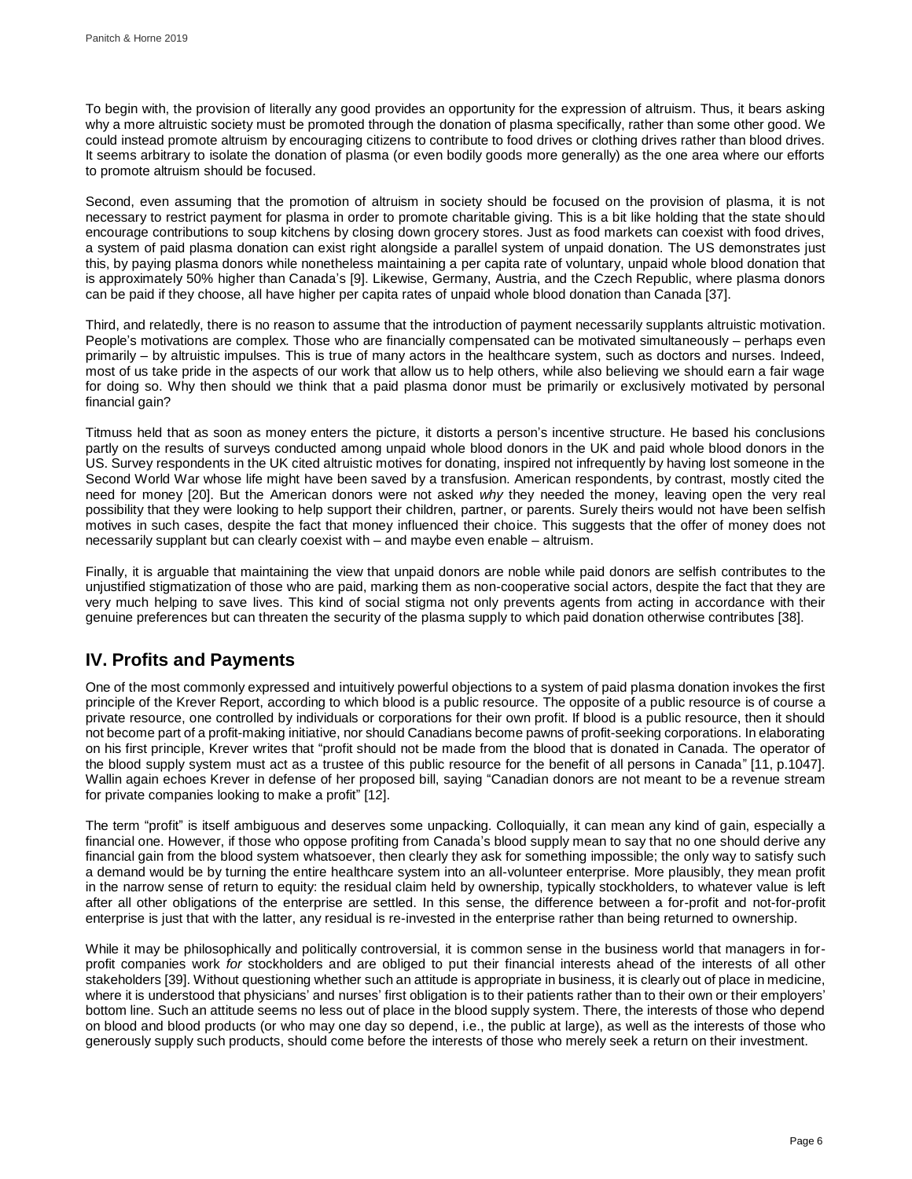To begin with, the provision of literally any good provides an opportunity for the expression of altruism. Thus, it bears asking why a more altruistic society must be promoted through the donation of plasma specifically, rather than some other good. We could instead promote altruism by encouraging citizens to contribute to food drives or clothing drives rather than blood drives. It seems arbitrary to isolate the donation of plasma (or even bodily goods more generally) as the one area where our efforts to promote altruism should be focused.

Second, even assuming that the promotion of altruism in society should be focused on the provision of plasma, it is not necessary to restrict payment for plasma in order to promote charitable giving. This is a bit like holding that the state should encourage contributions to soup kitchens by closing down grocery stores. Just as food markets can coexist with food drives, a system of paid plasma donation can exist right alongside a parallel system of unpaid donation. The US demonstrates just this, by paying plasma donors while nonetheless maintaining a per capita rate of voluntary, unpaid whole blood donation that is approximately 50% higher than Canada's [9]. Likewise, Germany, Austria, and the Czech Republic, where plasma donors can be paid if they choose, all have higher per capita rates of unpaid whole blood donation than Canada [37].

Third, and relatedly, there is no reason to assume that the introduction of payment necessarily supplants altruistic motivation. People's motivations are complex. Those who are financially compensated can be motivated simultaneously – perhaps even primarily – by altruistic impulses. This is true of many actors in the healthcare system, such as doctors and nurses. Indeed, most of us take pride in the aspects of our work that allow us to help others, while also believing we should earn a fair wage for doing so. Why then should we think that a paid plasma donor must be primarily or exclusively motivated by personal financial gain?

Titmuss held that as soon as money enters the picture, it distorts a person's incentive structure. He based his conclusions partly on the results of surveys conducted among unpaid whole blood donors in the UK and paid whole blood donors in the US. Survey respondents in the UK cited altruistic motives for donating, inspired not infrequently by having lost someone in the Second World War whose life might have been saved by a transfusion. American respondents, by contrast, mostly cited the need for money [20]. But the American donors were not asked *why* they needed the money, leaving open the very real possibility that they were looking to help support their children, partner, or parents. Surely theirs would not have been selfish motives in such cases, despite the fact that money influenced their choice. This suggests that the offer of money does not necessarily supplant but can clearly coexist with – and maybe even enable – altruism.

Finally, it is arguable that maintaining the view that unpaid donors are noble while paid donors are selfish contributes to the unjustified stigmatization of those who are paid, marking them as non-cooperative social actors, despite the fact that they are very much helping to save lives. This kind of social stigma not only prevents agents from acting in accordance with their genuine preferences but can threaten the security of the plasma supply to which paid donation otherwise contributes [38].

## **IV. Profits and Payments**

One of the most commonly expressed and intuitively powerful objections to a system of paid plasma donation invokes the first principle of the Krever Report, according to which blood is a public resource. The opposite of a public resource is of course a private resource, one controlled by individuals or corporations for their own profit. If blood is a public resource, then it should not become part of a profit-making initiative, nor should Canadians become pawns of profit-seeking corporations. In elaborating on his first principle, Krever writes that "profit should not be made from the blood that is donated in Canada. The operator of the blood supply system must act as a trustee of this public resource for the benefit of all persons in Canada" [11, p.1047]. Wallin again echoes Krever in defense of her proposed bill, saying "Canadian donors are not meant to be a revenue stream for private companies looking to make a profit" [12].

The term "profit" is itself ambiguous and deserves some unpacking. Colloquially, it can mean any kind of gain, especially a financial one. However, if those who oppose profiting from Canada's blood supply mean to say that no one should derive any financial gain from the blood system whatsoever, then clearly they ask for something impossible; the only way to satisfy such a demand would be by turning the entire healthcare system into an all-volunteer enterprise. More plausibly, they mean profit in the narrow sense of return to equity: the residual claim held by ownership, typically stockholders, to whatever value is left after all other obligations of the enterprise are settled. In this sense, the difference between a for-profit and not-for-profit enterprise is just that with the latter, any residual is re-invested in the enterprise rather than being returned to ownership.

While it may be philosophically and politically controversial, it is common sense in the business world that managers in forprofit companies work *for* stockholders and are obliged to put their financial interests ahead of the interests of all other stakeholders [39]. Without questioning whether such an attitude is appropriate in business, it is clearly out of place in medicine, where it is understood that physicians' and nurses' first obligation is to their patients rather than to their own or their employers' bottom line. Such an attitude seems no less out of place in the blood supply system. There, the interests of those who depend on blood and blood products (or who may one day so depend, i.e., the public at large), as well as the interests of those who generously supply such products, should come before the interests of those who merely seek a return on their investment.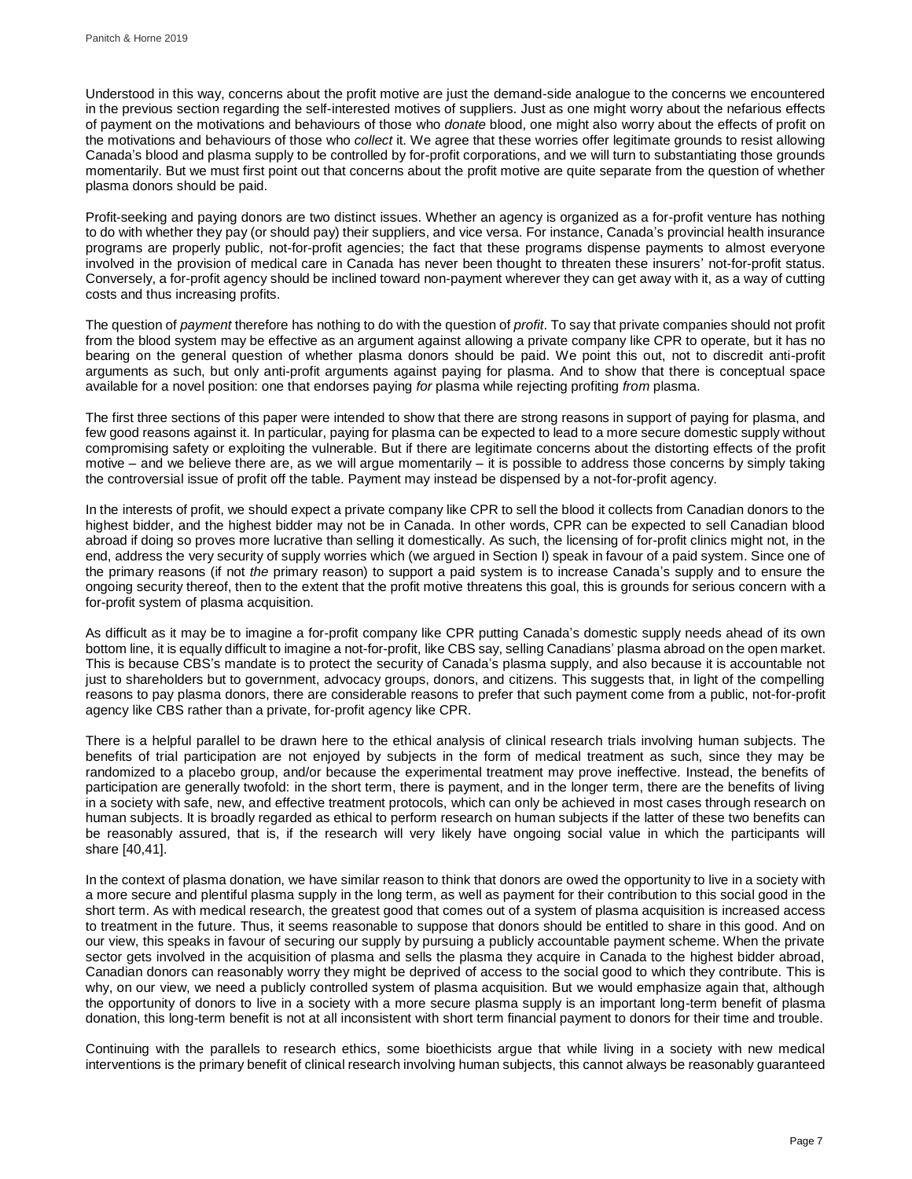Understood in this way, concerns about the profit motive are just the demand-side analogue to the concerns we encountered in the previous section regarding the self-interested motives of suppliers. Just as one might worry about the nefarious effects of payment on the motivations and behaviours of those who *donate* blood, one might also worry about the effects of profit on the motivations and behaviours of those who *collect* it. We agree that these worries offer legitimate grounds to resist allowing Canada's blood and plasma supply to be controlled by for-profit corporations, and we will turn to substantiating those grounds momentarily. But we must first point out that concerns about the profit motive are quite separate from the question of whether plasma donors should be paid.

Profit-seeking and paying donors are two distinct issues. Whether an agency is organized as a for-profit venture has nothing to do with whether they pay (or should pay) their suppliers, and vice versa. For instance, Canada's provincial health insurance programs are properly public, not-for-profit agencies; the fact that these programs dispense payments to almost everyone involved in the provision of medical care in Canada has never been thought to threaten these insurers' not-for-profit status. Conversely, a for-profit agency should be inclined toward non-payment wherever they can get away with it, as a way of cutting costs and thus increasing profits.

The question of *payment* therefore has nothing to do with the question of *profit*. To say that private companies should not profit from the blood system may be effective as an argument against allowing a private company like CPR to operate, but it has no bearing on the general question of whether plasma donors should be paid. We point this out, not to discredit anti-profit arguments as such, but only anti-profit arguments against paying for plasma. And to show that there is conceptual space available for a novel position: one that endorses paying *for* plasma while rejecting profiting *from* plasma.

The first three sections of this paper were intended to show that there are strong reasons in support of paying for plasma, and few good reasons against it. In particular, paying for plasma can be expected to lead to a more secure domestic supply without compromising safety or exploiting the vulnerable. But if there are legitimate concerns about the distorting effects of the profit motive – and we believe there are, as we will argue momentarily – it is possible to address those concerns by simply taking the controversial issue of profit off the table. Payment may instead be dispensed by a not-for-profit agency.

In the interests of profit, we should expect a private company like CPR to sell the blood it collects from Canadian donors to the highest bidder, and the highest bidder may not be in Canada. In other words, CPR can be expected to sell Canadian blood abroad if doing so proves more lucrative than selling it domestically. As such, the licensing of for-profit clinics might not, in the end, address the very security of supply worries which (we argued in Section I) speak in favour of a paid system. Since one of the primary reasons (if not *the* primary reason) to support a paid system is to increase Canada's supply and to ensure the ongoing security thereof, then to the extent that the profit motive threatens this goal, this is grounds for serious concern with a for-profit system of plasma acquisition.

As difficult as it may be to imagine a for-profit company like CPR putting Canada's domestic supply needs ahead of its own bottom line, it is equally difficult to imagine a not-for-profit, like CBS say, selling Canadians' plasma abroad on the open market. This is because CBS's mandate is to protect the security of Canada's plasma supply, and also because it is accountable not just to shareholders but to government, advocacy groups, donors, and citizens. This suggests that, in light of the compelling reasons to pay plasma donors, there are considerable reasons to prefer that such payment come from a public, not-for-profit agency like CBS rather than a private, for-profit agency like CPR.

There is a helpful parallel to be drawn here to the ethical analysis of clinical research trials involving human subjects. The benefits of trial participation are not enjoyed by subjects in the form of medical treatment as such, since they may be randomized to a placebo group, and/or because the experimental treatment may prove ineffective. Instead, the benefits of participation are generally twofold: in the short term, there is payment, and in the longer term, there are the benefits of living in a society with safe, new, and effective treatment protocols, which can only be achieved in most cases through research on human subjects. It is broadly regarded as ethical to perform research on human subjects if the latter of these two benefits can be reasonably assured, that is, if the research will very likely have ongoing social value in which the participants will share [40,41].

In the context of plasma donation, we have similar reason to think that donors are owed the opportunity to live in a society with a more secure and plentiful plasma supply in the long term, as well as payment for their contribution to this social good in the short term. As with medical research, the greatest good that comes out of a system of plasma acquisition is increased access to treatment in the future. Thus, it seems reasonable to suppose that donors should be entitled to share in this good. And on our view, this speaks in favour of securing our supply by pursuing a publicly accountable payment scheme. When the private sector gets involved in the acquisition of plasma and sells the plasma they acquire in Canada to the highest bidder abroad, Canadian donors can reasonably worry they might be deprived of access to the social good to which they contribute. This is why, on our view, we need a publicly controlled system of plasma acquisition. But we would emphasize again that, although the opportunity of donors to live in a society with a more secure plasma supply is an important long-term benefit of plasma donation, this long-term benefit is not at all inconsistent with short term financial payment to donors for their time and trouble.

Continuing with the parallels to research ethics, some bioethicists argue that while living in a society with new medical interventions is the primary benefit of clinical research involving human subjects, this cannot always be reasonably guaranteed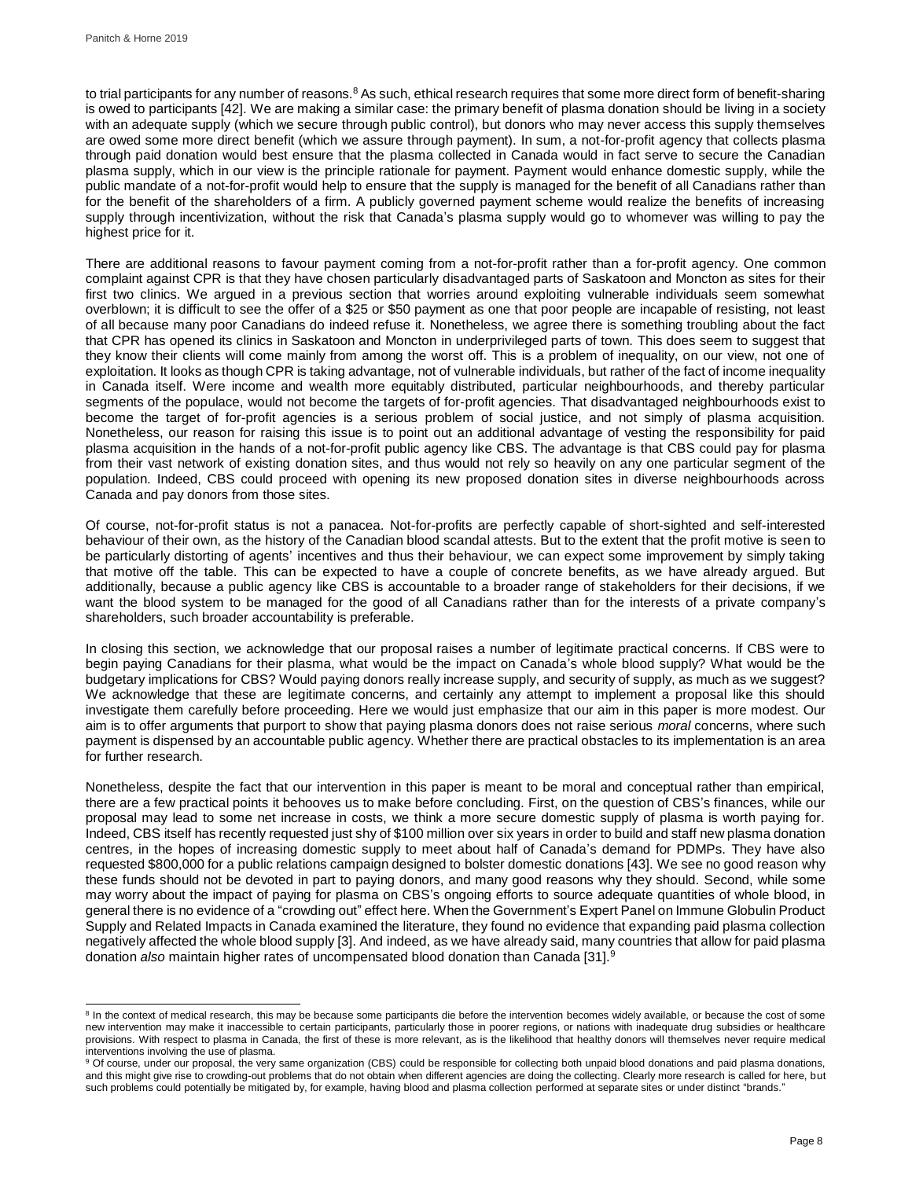to trial participants for any number of reasons.<sup>8</sup> As such, ethical research requires that some more direct form of benefit-sharing is owed to participants [42]. We are making a similar case: the primary benefit of plasma donation should be living in a society with an adequate supply (which we secure through public control), but donors who may never access this supply themselves are owed some more direct benefit (which we assure through payment). In sum, a not-for-profit agency that collects plasma through paid donation would best ensure that the plasma collected in Canada would in fact serve to secure the Canadian plasma supply, which in our view is the principle rationale for payment. Payment would enhance domestic supply, while the public mandate of a not-for-profit would help to ensure that the supply is managed for the benefit of all Canadians rather than for the benefit of the shareholders of a firm. A publicly governed payment scheme would realize the benefits of increasing supply through incentivization, without the risk that Canada's plasma supply would go to whomever was willing to pay the highest price for it.

There are additional reasons to favour payment coming from a not-for-profit rather than a for-profit agency. One common complaint against CPR is that they have chosen particularly disadvantaged parts of Saskatoon and Moncton as sites for their first two clinics. We argued in a previous section that worries around exploiting vulnerable individuals seem somewhat overblown; it is difficult to see the offer of a \$25 or \$50 payment as one that poor people are incapable of resisting, not least of all because many poor Canadians do indeed refuse it. Nonetheless, we agree there is something troubling about the fact that CPR has opened its clinics in Saskatoon and Moncton in underprivileged parts of town. This does seem to suggest that they know their clients will come mainly from among the worst off. This is a problem of inequality, on our view, not one of exploitation. It looks as though CPR is taking advantage, not of vulnerable individuals, but rather of the fact of income inequality in Canada itself. Were income and wealth more equitably distributed, particular neighbourhoods, and thereby particular segments of the populace, would not become the targets of for-profit agencies. That disadvantaged neighbourhoods exist to become the target of for-profit agencies is a serious problem of social justice, and not simply of plasma acquisition. Nonetheless, our reason for raising this issue is to point out an additional advantage of vesting the responsibility for paid plasma acquisition in the hands of a not-for-profit public agency like CBS. The advantage is that CBS could pay for plasma from their vast network of existing donation sites, and thus would not rely so heavily on any one particular segment of the population. Indeed, CBS could proceed with opening its new proposed donation sites in diverse neighbourhoods across Canada and pay donors from those sites.

Of course, not-for-profit status is not a panacea. Not-for-profits are perfectly capable of short-sighted and self-interested behaviour of their own, as the history of the Canadian blood scandal attests. But to the extent that the profit motive is seen to be particularly distorting of agents' incentives and thus their behaviour, we can expect some improvement by simply taking that motive off the table. This can be expected to have a couple of concrete benefits, as we have already argued. But additionally, because a public agency like CBS is accountable to a broader range of stakeholders for their decisions, if we want the blood system to be managed for the good of all Canadians rather than for the interests of a private company's shareholders, such broader accountability is preferable.

In closing this section, we acknowledge that our proposal raises a number of legitimate practical concerns. If CBS were to begin paying Canadians for their plasma, what would be the impact on Canada's whole blood supply? What would be the budgetary implications for CBS? Would paying donors really increase supply, and security of supply, as much as we suggest? We acknowledge that these are legitimate concerns, and certainly any attempt to implement a proposal like this should investigate them carefully before proceeding. Here we would just emphasize that our aim in this paper is more modest. Our aim is to offer arguments that purport to show that paying plasma donors does not raise serious *moral* concerns, where such payment is dispensed by an accountable public agency. Whether there are practical obstacles to its implementation is an area for further research.

Nonetheless, despite the fact that our intervention in this paper is meant to be moral and conceptual rather than empirical, there are a few practical points it behooves us to make before concluding. First, on the question of CBS's finances, while our proposal may lead to some net increase in costs, we think a more secure domestic supply of plasma is worth paying for. Indeed, CBS itself has recently requested just shy of \$100 million over six years in order to build and staff new plasma donation centres, in the hopes of increasing domestic supply to meet about half of Canada's demand for PDMPs. They have also requested \$800,000 for a public relations campaign designed to bolster domestic donations [43]. We see no good reason why these funds should not be devoted in part to paying donors, and many good reasons why they should. Second, while some may worry about the impact of paying for plasma on CBS's ongoing efforts to source adequate quantities of whole blood, in general there is no evidence of a "crowding out" effect here. When the Government's Expert Panel on Immune Globulin Product Supply and Related Impacts in Canada examined the literature, they found no evidence that expanding paid plasma collection negatively affected the whole blood supply [3]. And indeed, as we have already said, many countries that allow for paid plasma donation *also* maintain higher rates of uncompensated blood donation than Canada [31]. 9

l <sup>8</sup> In the context of medical research, this may be because some participants die before the intervention becomes widely available, or because the cost of some new intervention may make it inaccessible to certain participants, particularly those in poorer regions, or nations with inadequate drug subsidies or healthcare provisions. With respect to plasma in Canada, the first of these is more relevant, as is the likelihood that healthy donors will themselves never require medical interventions involving the use of plasma.

<sup>&</sup>lt;sup>9</sup> Of course, under our proposal, the very same organization (CBS) could be responsible for collecting both unpaid blood donations and paid plasma donations, and this might give rise to crowding-out problems that do not obtain when different agencies are doing the collecting. Clearly more research is called for here, but such problems could potentially be mitigated by, for example, having blood and plasma collection performed at separate sites or under distinct "brands."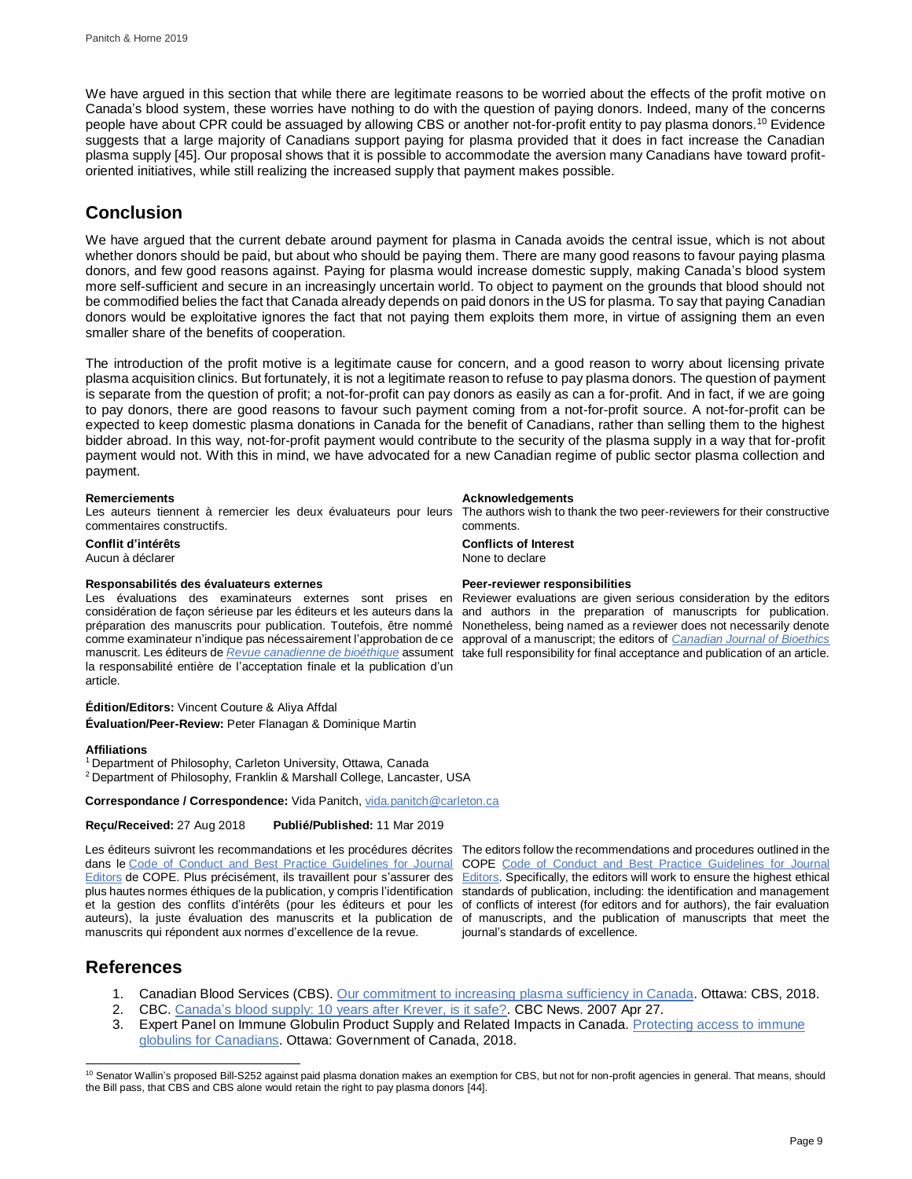We have argued in this section that while there are legitimate reasons to be worried about the effects of the profit motive on Canada's blood system, these worries have nothing to do with the question of paying donors. Indeed, many of the concerns people have about CPR could be assuaged by allowing CBS or another not-for-profit entity to pay plasma donors.<sup>10</sup> Evidence suggests that a large majority of Canadians support paying for plasma provided that it does in fact increase the Canadian plasma supply [45]. Our proposal shows that it is possible to accommodate the aversion many Canadians have toward profitoriented initiatives, while still realizing the increased supply that payment makes possible.

## **Conclusion**

We have argued that the current debate around payment for plasma in Canada avoids the central issue, which is not about whether donors should be paid, but about who should be paying them. There are many good reasons to favour paying plasma donors, and few good reasons against. Paying for plasma would increase domestic supply, making Canada's blood system more self-sufficient and secure in an increasingly uncertain world. To object to payment on the grounds that blood should not be commodified belies the fact that Canada already depends on paid donors in the US for plasma. To say that paying Canadian donors would be exploitative ignores the fact that not paying them exploits them more, in virtue of assigning them an even smaller share of the benefits of cooperation.

The introduction of the profit motive is a legitimate cause for concern, and a good reason to worry about licensing private plasma acquisition clinics. But fortunately, it is not a legitimate reason to refuse to pay plasma donors. The question of payment is separate from the question of profit; a not-for-profit can pay donors as easily as can a for-profit. And in fact, if we are going to pay donors, there are good reasons to favour such payment coming from a not-for-profit source. A not-for-profit can be expected to keep domestic plasma donations in Canada for the benefit of Canadians, rather than selling them to the highest bidder abroad. In this way, not-for-profit payment would contribute to the security of the plasma supply in a way that for-profit payment would not. With this in mind, we have advocated for a new Canadian regime of public sector plasma collection and payment.

Les auteurs tiennent à remercier les deux évaluateurs pour leurs The authors wish to thank the two peer-reviewers for their constructive commentaires constructifs.

Aucun à déclarer

### **Responsabilités des évaluateurs externes Peer-reviewer responsibilities**

Les évaluations des examinateurs externes sont prises en considération de façon sérieuse par les éditeurs et les auteurs dans la préparation des manuscrits pour publication. Toutefois, être nommé Nonetheless, being named as a reviewer does not necessarily denote comme examinateur n'indique pas nécessairement l'approbation de ce approval of a manuscript; the editors of *[Canadian Journal of Bioethics](http://cjb-rcb.ca/)* manuscrit. Les éditeurs de *[Revue canadienne de bioéthique](http://cjb-rcb.ca/)* assument take full responsibility for final acceptance and publication of an article. la responsabilité entière de l'acceptation finale et la publication d'un article.

**Édition/Editors:** Vincent Couture & Aliya Affdal **Évaluation/Peer-Review:** Peter Flanagan & Dominique Martin

#### **Affiliations**

<sup>1</sup> Department of Philosophy, Carleton University, Ottawa, Canada

<sup>2</sup> Department of Philosophy, Franklin & Marshall College, Lancaster, USA

**Correspondance / Correspondence:** Vida Panitch[, vida.panitch@carleton.ca](mailto:vida.panitch@carleton.ca)

**Reçu/Received:** 27 Aug 2018 **Publié/Published:** 11 Mar 2019

Les éditeurs suivront les recommandations et les procédures décrites The editors follow the recommendations and procedures outlined in the dans le [Code of Conduct and Best Practice Guidelines for Journal](http://publicationethics.org/resources/code-conduct)  [Editors](http://publicationethics.org/resources/code-conduct) de COPE. Plus précisément, ils travaillent pour s'assurer des [Editors.](http://publicationethics.org/resources/code-conduct) Specifically, the editors will work to ensure the highest ethical plus hautes normes éthiques de la publication, y compris l'identification et la gestion des conflits d'intérêts (pour les éditeurs et pour les auteurs), la juste évaluation des manuscrits et la publication de manuscrits qui répondent aux normes d'excellence de la revue.

COPE [Code of Conduct and Best Practice Guidelines for Journal](http://publicationethics.org/resources/code-conduct)  standards of publication, including: the identification and management of conflicts of interest (for editors and for authors), the fair evaluation of manuscripts, and the publication of manuscripts that meet the journal's standards of excellence.

## **References**

- 1. Canadian Blood Services (CBS). [Our commitment to increasing plasma sufficiency in Canada.](https://blood.ca/en/blood/plasma-sufficiency) Ottawa: CBS, 2018.
- 2. CBC[. Canada's blood supply: 10 years after Krever, is it safe?.](http://www.cbc.ca/news2/background/health/blood-supply.html) CBC News. 2007 Apr 27.
- 3. Expert Panel on Immune Globulin Product Supply and Related Impacts in Canada. [Protecting access to immune](https://www.canada.ca/en/health-canada/programs/expert-panel-immune-globulin-product-supply-related-impacts-canada.html)  [globulins for Canadians.](https://www.canada.ca/en/health-canada/programs/expert-panel-immune-globulin-product-supply-related-impacts-canada.html) Ottawa: Government of Canada, 2018.

### **Remerciements Acknowledgements**

comments. **Conflit d'intérêts Conflicts of Interest**

Reviewer evaluations are given serious consideration by the editors and authors in the preparation of manuscripts for publication.

 <sup>10</sup> Senator Wallin's proposed Bill-S252 against paid plasma donation makes an exemption for CBS, but not for non-profit agencies in general. That means, should the Bill pass, that CBS and CBS alone would retain the right to pay plasma donors [44].